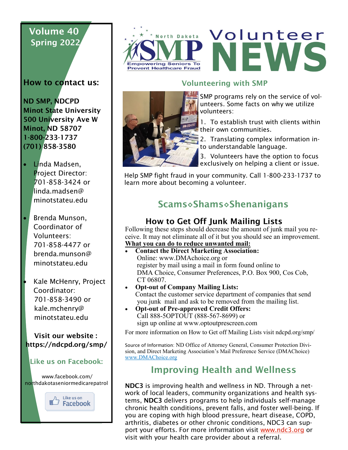# Volume 40 Spring 2022

How to contact us:

ND SMP, NDCPD Minot State University 500 University Ave W Minot, ND 58707 1-800-233-1737 (701) 858-3580

- Linda Madsen, Project Director: 701-858-3424 or linda.madsen@ minotstateu.edu
- Brenda Munson, Coordinator of Volunteers: 701-858-4477 or brenda.munson@ minotstateu.edu
- Kale McHenry, Project Coordinator: 701-858-3490 or kale.mchenry@ minotstateu.edu

 Visit our website : https://ndcpd.org/smp/

#### Like us on Facebook:

www.facebook.com/ northdakotaseniormedicarepatrol







### Volunteering with SMP



SMP programs rely on the service of volunteers. Some facts on why we utilize volunteers:

1. To establish trust with clients within their own communities.

2. Translating complex information into understandable language.

3. Volunteers have the option to focus exclusively on helping a client or issue.

Help SMP fight fraud in your community. Call 1-800-233-1737 to learn more about becoming a volunteer.

# Scams◊Shams◊Shenanigans

## How to Get Off Junk Mailing Lists

Following these steps should decrease the amount of junk mail you receive. It may not eliminate all of it but you should see an improvement. **What you can do to reduce unwanted mail:**

- **Contact the Direct Marketing Association:** Online: www.DMAchoice.org or register by mail using a mail in form found online to DMA Choice, Consumer Preferences, P.O. Box 900, Cos Cob, CT 06807.
- **Opt-out of Company Mailing Lists:** Contact the customer service department of companies that send you junk mail and ask to be removed from the mailing list.
- **Opt-out of Pre-approved Credit Offers:** Call 888-5OPTOUT (888-567-8699) or sign up online at www.optoutprescreen.com

For more information on How to Get off Mailing Lists visit ndcpd.org/smp/

Source of Information: ND Office of Attorney General, Consumer Protection Division, and Direct Marketing Association's Mail Preference Service (DMAChoice) [www.DMAChoice.org](http://www.DMAChoice.org)

## Improving Health and Wellness

NDC3 is improving health and wellness in ND. Through a network of local leaders, community organizations and health systems, NDC3 delivers programs to help individuals self-manage chronic health conditions, prevent falls, and foster well-being. If you are coping with high blood pressure, heart disease, COPD, arthritis, diabetes or other chronic conditions, NDC3 can support your efforts. For more information visit [www.ndc3.org](https://www.ndc3.org/Programs) or visit with your health care provider about a referral.